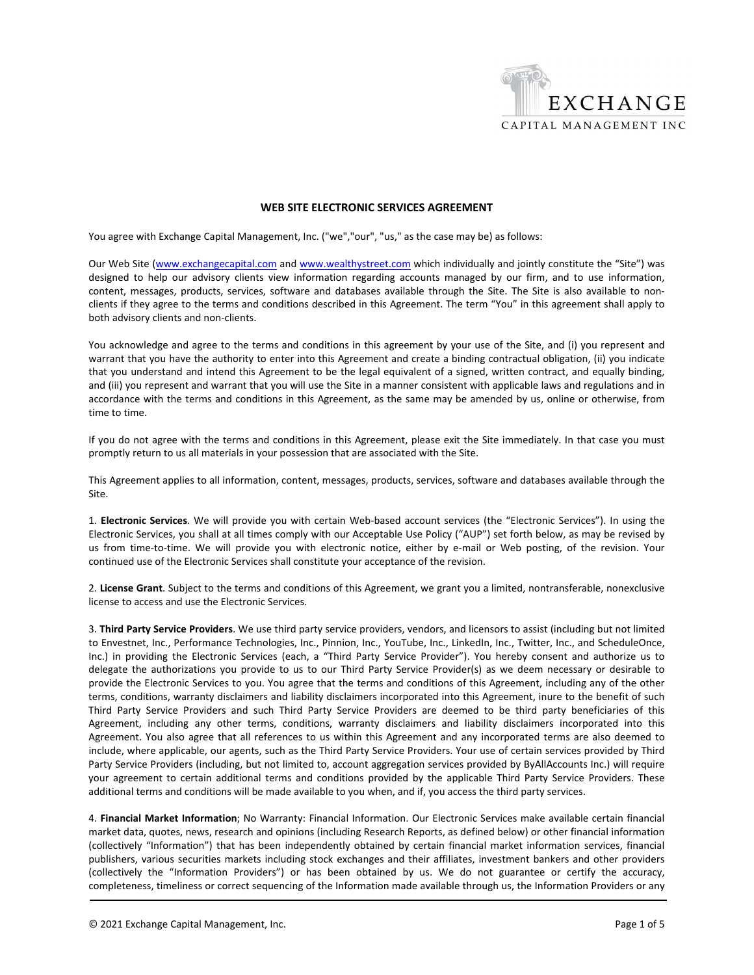

## **WEB SITE ELECTRONIC SERVICES AGREEMENT**

You agree with Exchange Capital Management, Inc. ("we","our", "us," as the case may be) as follows:

Our Web Site (www.exchangecapital.com and www.wealthystreet.com which individually and jointly constitute the "Site") was designed to help our advisory clients view information regarding accounts managed by our firm, and to use information, content, messages, products, services, software and databases available through the Site. The Site is also available to nonclients if they agree to the terms and conditions described in this Agreement. The term "You" in this agreement shall apply to both advisory clients and non‐clients.

You acknowledge and agree to the terms and conditions in this agreement by your use of the Site, and (i) you represent and warrant that you have the authority to enter into this Agreement and create a binding contractual obligation, (ii) you indicate that you understand and intend this Agreement to be the legal equivalent of a signed, written contract, and equally binding, and (iii) you represent and warrant that you will use the Site in a manner consistent with applicable laws and regulations and in accordance with the terms and conditions in this Agreement, as the same may be amended by us, online or otherwise, from time to time.

If you do not agree with the terms and conditions in this Agreement, please exit the Site immediately. In that case you must promptly return to us all materials in your possession that are associated with the Site.

This Agreement applies to all information, content, messages, products, services, software and databases available through the Site.

1. **Electronic Services**. We will provide you with certain Web‐based account services (the "Electronic Services"). In using the Electronic Services, you shall at all times comply with our Acceptable Use Policy ("AUP") set forth below, as may be revised by us from time-to-time. We will provide you with electronic notice, either by e-mail or Web posting, of the revision. Your continued use of the Electronic Services shall constitute your acceptance of the revision.

2. **License Grant**. Subject to the terms and conditions of this Agreement, we grant you a limited, nontransferable, nonexclusive license to access and use the Electronic Services.

3. **Third Party Service Providers**. We use third party service providers, vendors, and licensors to assist (including but not limited to Envestnet, Inc., Performance Technologies, Inc., Pinnion, Inc., YouTube, Inc., LinkedIn, Inc., Twitter, Inc., and ScheduleOnce, Inc.) in providing the Electronic Services (each, a "Third Party Service Provider"). You hereby consent and authorize us to delegate the authorizations you provide to us to our Third Party Service Provider(s) as we deem necessary or desirable to provide the Electronic Services to you. You agree that the terms and conditions of this Agreement, including any of the other terms, conditions, warranty disclaimers and liability disclaimers incorporated into this Agreement, inure to the benefit of such Third Party Service Providers and such Third Party Service Providers are deemed to be third party beneficiaries of this Agreement, including any other terms, conditions, warranty disclaimers and liability disclaimers incorporated into this Agreement. You also agree that all references to us within this Agreement and any incorporated terms are also deemed to include, where applicable, our agents, such as the Third Party Service Providers. Your use of certain services provided by Third Party Service Providers (including, but not limited to, account aggregation services provided by ByAllAccounts Inc.) will require your agreement to certain additional terms and conditions provided by the applicable Third Party Service Providers. These additional terms and conditions will be made available to you when, and if, you access the third party services.

4. **Financial Market Information**; No Warranty: Financial Information. Our Electronic Services make available certain financial market data, quotes, news, research and opinions (including Research Reports, as defined below) or other financial information (collectively "Information") that has been independently obtained by certain financial market information services, financial publishers, various securities markets including stock exchanges and their affiliates, investment bankers and other providers (collectively the "Information Providers") or has been obtained by us. We do not guarantee or certify the accuracy, completeness, timeliness or correct sequencing of the Information made available through us, the Information Providers or any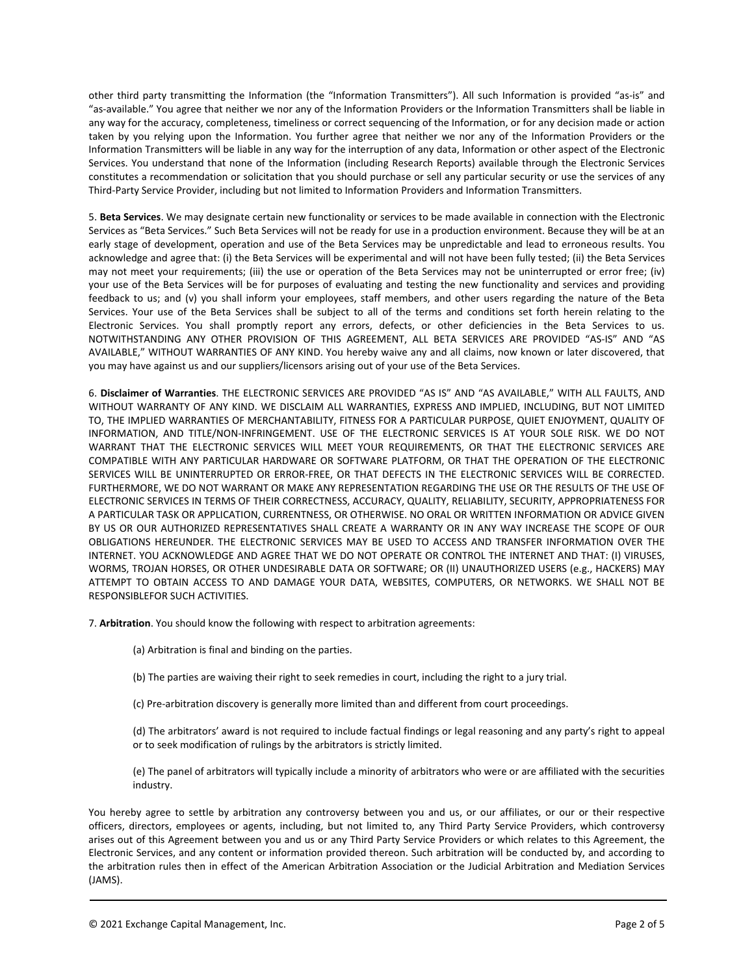other third party transmitting the Information (the "Information Transmitters"). All such Information is provided "as‐is" and "as‐available." You agree that neither we nor any of the Information Providers or the Information Transmitters shall be liable in any way for the accuracy, completeness, timeliness or correct sequencing of the Information, or for any decision made or action taken by you relying upon the Information. You further agree that neither we nor any of the Information Providers or the Information Transmitters will be liable in any way for the interruption of any data, Information or other aspect of the Electronic Services. You understand that none of the Information (including Research Reports) available through the Electronic Services constitutes a recommendation or solicitation that you should purchase or sell any particular security or use the services of any Third-Party Service Provider, including but not limited to Information Providers and Information Transmitters.

5. **Beta Services**. We may designate certain new functionality or services to be made available in connection with the Electronic Services as "Beta Services." Such Beta Services will not be ready for use in a production environment. Because they will be at an early stage of development, operation and use of the Beta Services may be unpredictable and lead to erroneous results. You acknowledge and agree that: (i) the Beta Services will be experimental and will not have been fully tested; (ii) the Beta Services may not meet your requirements; (iii) the use or operation of the Beta Services may not be uninterrupted or error free; (iv) your use of the Beta Services will be for purposes of evaluating and testing the new functionality and services and providing feedback to us; and (v) you shall inform your employees, staff members, and other users regarding the nature of the Beta Services. Your use of the Beta Services shall be subject to all of the terms and conditions set forth herein relating to the Electronic Services. You shall promptly report any errors, defects, or other deficiencies in the Beta Services to us. NOTWITHSTANDING ANY OTHER PROVISION OF THIS AGREEMENT, ALL BETA SERVICES ARE PROVIDED "AS‐IS" AND "AS AVAILABLE," WITHOUT WARRANTIES OF ANY KIND. You hereby waive any and all claims, now known or later discovered, that you may have against us and our suppliers/licensors arising out of your use of the Beta Services.

6. **Disclaimer of Warranties**. THE ELECTRONIC SERVICES ARE PROVIDED "AS IS" AND "AS AVAILABLE," WITH ALL FAULTS, AND WITHOUT WARRANTY OF ANY KIND. WE DISCLAIM ALL WARRANTIES, EXPRESS AND IMPLIED, INCLUDING, BUT NOT LIMITED TO, THE IMPLIED WARRANTIES OF MERCHANTABILITY, FITNESS FOR A PARTICULAR PURPOSE, QUIET ENJOYMENT, QUALITY OF INFORMATION, AND TITLE/NON‐INFRINGEMENT. USE OF THE ELECTRONIC SERVICES IS AT YOUR SOLE RISK. WE DO NOT WARRANT THAT THE ELECTRONIC SERVICES WILL MEET YOUR REQUIREMENTS, OR THAT THE ELECTRONIC SERVICES ARE COMPATIBLE WITH ANY PARTICULAR HARDWARE OR SOFTWARE PLATFORM, OR THAT THE OPERATION OF THE ELECTRONIC SERVICES WILL BE UNINTERRUPTED OR ERROR‐FREE, OR THAT DEFECTS IN THE ELECTRONIC SERVICES WILL BE CORRECTED. FURTHERMORE, WE DO NOT WARRANT OR MAKE ANY REPRESENTATION REGARDING THE USE OR THE RESULTS OF THE USE OF ELECTRONIC SERVICES IN TERMS OF THEIR CORRECTNESS, ACCURACY, QUALITY, RELIABILITY, SECURITY, APPROPRIATENESS FOR A PARTICULAR TASK OR APPLICATION, CURRENTNESS, OR OTHERWISE. NO ORAL OR WRITTEN INFORMATION OR ADVICE GIVEN BY US OR OUR AUTHORIZED REPRESENTATIVES SHALL CREATE A WARRANTY OR IN ANY WAY INCREASE THE SCOPE OF OUR OBLIGATIONS HEREUNDER. THE ELECTRONIC SERVICES MAY BE USED TO ACCESS AND TRANSFER INFORMATION OVER THE INTERNET. YOU ACKNOWLEDGE AND AGREE THAT WE DO NOT OPERATE OR CONTROL THE INTERNET AND THAT: (I) VIRUSES, WORMS, TROJAN HORSES, OR OTHER UNDESIRABLE DATA OR SOFTWARE; OR (II) UNAUTHORIZED USERS (e.g., HACKERS) MAY ATTEMPT TO OBTAIN ACCESS TO AND DAMAGE YOUR DATA, WEBSITES, COMPUTERS, OR NETWORKS. WE SHALL NOT BE RESPONSIBLEFOR SUCH ACTIVITIES.

7. **Arbitration**. You should know the following with respect to arbitration agreements:

- (a) Arbitration is final and binding on the parties.
- (b) The parties are waiving their right to seek remedies in court, including the right to a jury trial.
- (c) Pre‐arbitration discovery is generally more limited than and different from court proceedings.

(d) The arbitrators' award is not required to include factual findings or legal reasoning and any party's right to appeal or to seek modification of rulings by the arbitrators is strictly limited.

(e) The panel of arbitrators will typically include a minority of arbitrators who were or are affiliated with the securities industry.

You hereby agree to settle by arbitration any controversy between you and us, or our affiliates, or our or their respective officers, directors, employees or agents, including, but not limited to, any Third Party Service Providers, which controversy arises out of this Agreement between you and us or any Third Party Service Providers or which relates to this Agreement, the Electronic Services, and any content or information provided thereon. Such arbitration will be conducted by, and according to the arbitration rules then in effect of the American Arbitration Association or the Judicial Arbitration and Mediation Services (JAMS).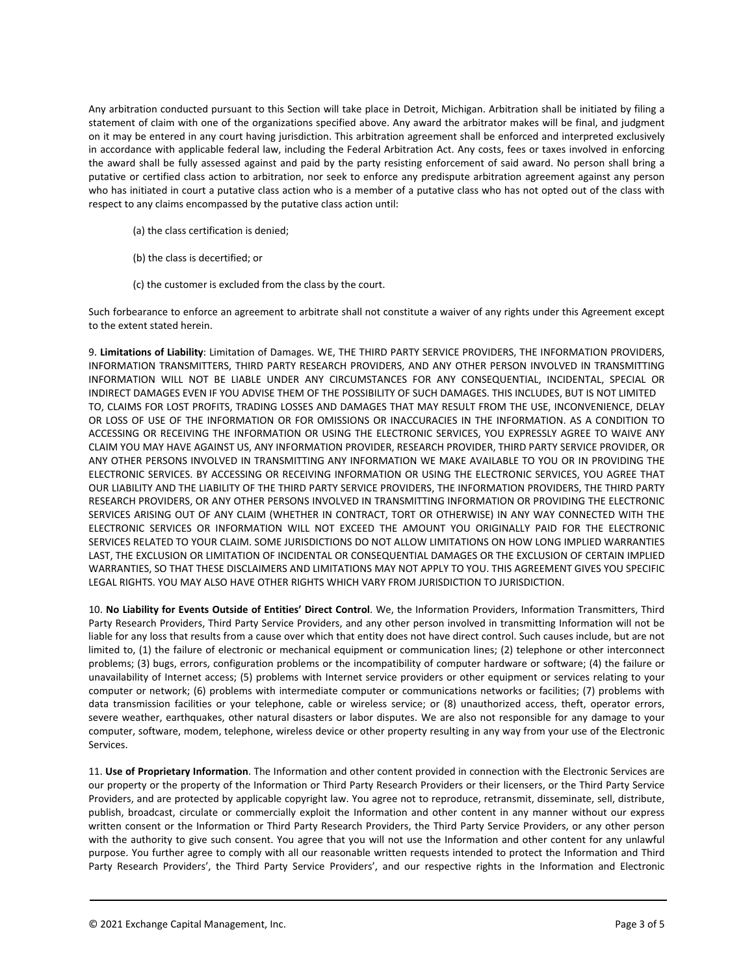Any arbitration conducted pursuant to this Section will take place in Detroit, Michigan. Arbitration shall be initiated by filing a statement of claim with one of the organizations specified above. Any award the arbitrator makes will be final, and judgment on it may be entered in any court having jurisdiction. This arbitration agreement shall be enforced and interpreted exclusively in accordance with applicable federal law, including the Federal Arbitration Act. Any costs, fees or taxes involved in enforcing the award shall be fully assessed against and paid by the party resisting enforcement of said award. No person shall bring a putative or certified class action to arbitration, nor seek to enforce any predispute arbitration agreement against any person who has initiated in court a putative class action who is a member of a putative class who has not opted out of the class with respect to any claims encompassed by the putative class action until:

- (a) the class certification is denied;
- (b) the class is decertified; or
- (c) the customer is excluded from the class by the court.

Such forbearance to enforce an agreement to arbitrate shall not constitute a waiver of any rights under this Agreement except to the extent stated herein.

9. **Limitations of Liability**: Limitation of Damages. WE, THE THIRD PARTY SERVICE PROVIDERS, THE INFORMATION PROVIDERS, INFORMATION TRANSMITTERS, THIRD PARTY RESEARCH PROVIDERS, AND ANY OTHER PERSON INVOLVED IN TRANSMITTING INFORMATION WILL NOT BE LIABLE UNDER ANY CIRCUMSTANCES FOR ANY CONSEQUENTIAL, INCIDENTAL, SPECIAL OR INDIRECT DAMAGES EVEN IF YOU ADVISE THEM OF THE POSSIBILITY OF SUCH DAMAGES. THIS INCLUDES, BUT IS NOT LIMITED TO, CLAIMS FOR LOST PROFITS, TRADING LOSSES AND DAMAGES THAT MAY RESULT FROM THE USE, INCONVENIENCE, DELAY OR LOSS OF USE OF THE INFORMATION OR FOR OMISSIONS OR INACCURACIES IN THE INFORMATION. AS A CONDITION TO ACCESSING OR RECEIVING THE INFORMATION OR USING THE ELECTRONIC SERVICES, YOU EXPRESSLY AGREE TO WAIVE ANY CLAIM YOU MAY HAVE AGAINST US, ANY INFORMATION PROVIDER, RESEARCH PROVIDER, THIRD PARTY SERVICE PROVIDER, OR ANY OTHER PERSONS INVOLVED IN TRANSMITTING ANY INFORMATION WE MAKE AVAILABLE TO YOU OR IN PROVIDING THE ELECTRONIC SERVICES. BY ACCESSING OR RECEIVING INFORMATION OR USING THE ELECTRONIC SERVICES, YOU AGREE THAT OUR LIABILITY AND THE LIABILITY OF THE THIRD PARTY SERVICE PROVIDERS, THE INFORMATION PROVIDERS, THE THIRD PARTY RESEARCH PROVIDERS, OR ANY OTHER PERSONS INVOLVED IN TRANSMITTING INFORMATION OR PROVIDING THE ELECTRONIC SERVICES ARISING OUT OF ANY CLAIM (WHETHER IN CONTRACT, TORT OR OTHERWISE) IN ANY WAY CONNECTED WITH THE ELECTRONIC SERVICES OR INFORMATION WILL NOT EXCEED THE AMOUNT YOU ORIGINALLY PAID FOR THE ELECTRONIC SERVICES RELATED TO YOUR CLAIM. SOME JURISDICTIONS DO NOT ALLOW LIMITATIONS ON HOW LONG IMPLIED WARRANTIES LAST, THE EXCLUSION OR LIMITATION OF INCIDENTAL OR CONSEQUENTIAL DAMAGES OR THE EXCLUSION OF CERTAIN IMPLIED WARRANTIES, SO THAT THESE DISCLAIMERS AND LIMITATIONS MAY NOT APPLY TO YOU. THIS AGREEMENT GIVES YOU SPECIFIC LEGAL RIGHTS. YOU MAY ALSO HAVE OTHER RIGHTS WHICH VARY FROM JURISDICTION TO JURISDICTION.

10. **No Liability for Events Outside of Entities' Direct Control**. We, the Information Providers, Information Transmitters, Third Party Research Providers, Third Party Service Providers, and any other person involved in transmitting Information will not be liable for any loss that results from a cause over which that entity does not have direct control. Such causes include, but are not limited to, (1) the failure of electronic or mechanical equipment or communication lines; (2) telephone or other interconnect problems; (3) bugs, errors, configuration problems or the incompatibility of computer hardware or software; (4) the failure or unavailability of Internet access; (5) problems with Internet service providers or other equipment or services relating to your computer or network; (6) problems with intermediate computer or communications networks or facilities; (7) problems with data transmission facilities or your telephone, cable or wireless service; or (8) unauthorized access, theft, operator errors, severe weather, earthquakes, other natural disasters or labor disputes. We are also not responsible for any damage to your computer, software, modem, telephone, wireless device or other property resulting in any way from your use of the Electronic Services.

11. **Use of Proprietary Information**. The Information and other content provided in connection with the Electronic Services are our property or the property of the Information or Third Party Research Providers or their licensers, or the Third Party Service Providers, and are protected by applicable copyright law. You agree not to reproduce, retransmit, disseminate, sell, distribute, publish, broadcast, circulate or commercially exploit the Information and other content in any manner without our express written consent or the Information or Third Party Research Providers, the Third Party Service Providers, or any other person with the authority to give such consent. You agree that you will not use the Information and other content for any unlawful purpose. You further agree to comply with all our reasonable written requests intended to protect the Information and Third Party Research Providers', the Third Party Service Providers', and our respective rights in the Information and Electronic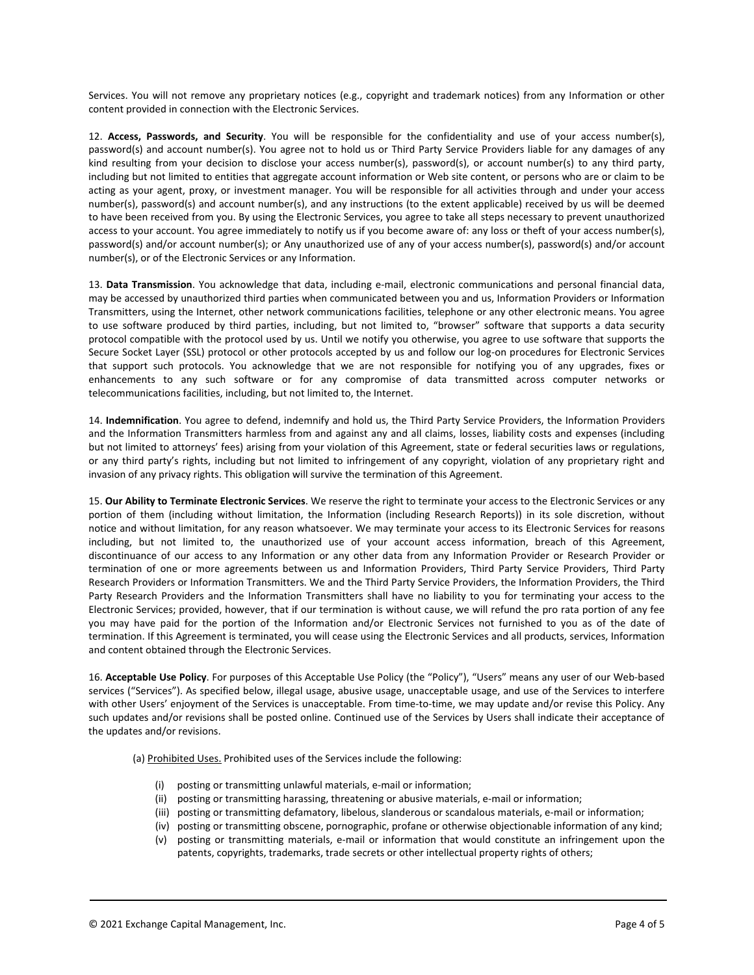Services. You will not remove any proprietary notices (e.g., copyright and trademark notices) from any Information or other content provided in connection with the Electronic Services.

12. **Access, Passwords, and Security**. You will be responsible for the confidentiality and use of your access number(s), password(s) and account number(s). You agree not to hold us or Third Party Service Providers liable for any damages of any kind resulting from your decision to disclose your access number(s), password(s), or account number(s) to any third party, including but not limited to entities that aggregate account information or Web site content, or persons who are or claim to be acting as your agent, proxy, or investment manager. You will be responsible for all activities through and under your access number(s), password(s) and account number(s), and any instructions (to the extent applicable) received by us will be deemed to have been received from you. By using the Electronic Services, you agree to take all steps necessary to prevent unauthorized access to your account. You agree immediately to notify us if you become aware of: any loss or theft of your access number(s), password(s) and/or account number(s); or Any unauthorized use of any of your access number(s), password(s) and/or account number(s), or of the Electronic Services or any Information.

13. Data Transmission. You acknowledge that data, including e-mail, electronic communications and personal financial data, may be accessed by unauthorized third parties when communicated between you and us, Information Providers or Information Transmitters, using the Internet, other network communications facilities, telephone or any other electronic means. You agree to use software produced by third parties, including, but not limited to, "browser" software that supports a data security protocol compatible with the protocol used by us. Until we notify you otherwise, you agree to use software that supports the Secure Socket Layer (SSL) protocol or other protocols accepted by us and follow our log-on procedures for Electronic Services that support such protocols. You acknowledge that we are not responsible for notifying you of any upgrades, fixes or enhancements to any such software or for any compromise of data transmitted across computer networks or telecommunications facilities, including, but not limited to, the Internet.

14. **Indemnification**. You agree to defend, indemnify and hold us, the Third Party Service Providers, the Information Providers and the Information Transmitters harmless from and against any and all claims, losses, liability costs and expenses (including but not limited to attorneys' fees) arising from your violation of this Agreement, state or federal securities laws or regulations, or any third party's rights, including but not limited to infringement of any copyright, violation of any proprietary right and invasion of any privacy rights. This obligation will survive the termination of this Agreement.

15. **Our Ability to Terminate Electronic Services**. We reserve the right to terminate your access to the Electronic Services or any portion of them (including without limitation, the Information (including Research Reports)) in its sole discretion, without notice and without limitation, for any reason whatsoever. We may terminate your access to its Electronic Services for reasons including, but not limited to, the unauthorized use of your account access information, breach of this Agreement, discontinuance of our access to any Information or any other data from any Information Provider or Research Provider or termination of one or more agreements between us and Information Providers, Third Party Service Providers, Third Party Research Providers or Information Transmitters. We and the Third Party Service Providers, the Information Providers, the Third Party Research Providers and the Information Transmitters shall have no liability to you for terminating your access to the Electronic Services; provided, however, that if our termination is without cause, we will refund the pro rata portion of any fee you may have paid for the portion of the Information and/or Electronic Services not furnished to you as of the date of termination. If this Agreement is terminated, you will cease using the Electronic Services and all products, services, Information and content obtained through the Electronic Services.

16. **Acceptable Use Policy**. For purposes of this Acceptable Use Policy (the "Policy"), "Users" means any user of our Web‐based services ("Services"). As specified below, illegal usage, abusive usage, unacceptable usage, and use of the Services to interfere with other Users' enjoyment of the Services is unacceptable. From time-to-time, we may update and/or revise this Policy. Any such updates and/or revisions shall be posted online. Continued use of the Services by Users shall indicate their acceptance of the updates and/or revisions.

(a) Prohibited Uses. Prohibited uses of the Services include the following:

- (i) posting or transmitting unlawful materials, e‐mail or information;
- (ii) posting or transmitting harassing, threatening or abusive materials, e‐mail or information;
- (iii) posting or transmitting defamatory, libelous, slanderous or scandalous materials, e‐mail or information;
- (iv) posting or transmitting obscene, pornographic, profane or otherwise objectionable information of any kind;
- (v) posting or transmitting materials, e‐mail or information that would constitute an infringement upon the patents, copyrights, trademarks, trade secrets or other intellectual property rights of others;